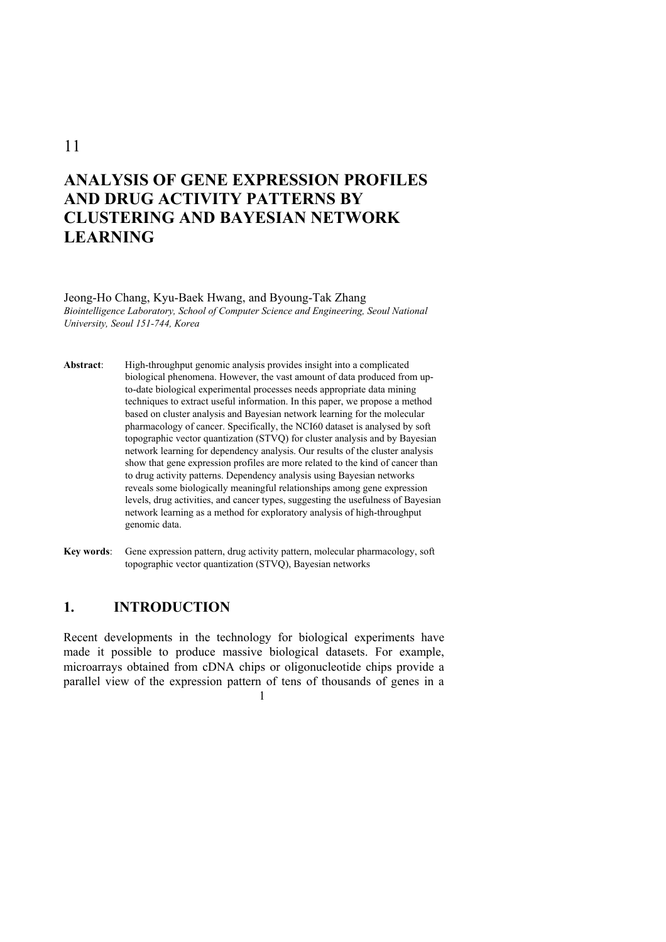## 11

# **ANALYSIS OF GENE EXPRESSION PROFILES AND DRUG ACTIVITY PATTERNS BY CLUSTERING AND BAYESIAN NETWORK LEARNING**

#### Jeong-Ho Chang, Kyu-Baek Hwang, and Byoung-Tak Zhang *Biointelligence Laboratory, School of Computer Science and Engineering, Seoul National University, Seoul 151-744, Korea*

**Abstract**: High-throughput genomic analysis provides insight into a complicated biological phenomena. However, the vast amount of data produced from upto-date biological experimental processes needs appropriate data mining techniques to extract useful information. In this paper, we propose a method based on cluster analysis and Bayesian network learning for the molecular pharmacology of cancer. Specifically, the NCI60 dataset is analysed by soft topographic vector quantization (STVQ) for cluster analysis and by Bayesian network learning for dependency analysis. Our results of the cluster analysis show that gene expression profiles are more related to the kind of cancer than to drug activity patterns. Dependency analysis using Bayesian networks reveals some biologically meaningful relationships among gene expression levels, drug activities, and cancer types, suggesting the usefulness of Bayesian network learning as a method for exploratory analysis of high-throughput genomic data.

**Key words**: Gene expression pattern, drug activity pattern, molecular pharmacology, soft topographic vector quantization (STVQ), Bayesian networks

## **1. INTRODUCTION**

Recent developments in the technology for biological experiments have made it possible to produce massive biological datasets. For example, microarrays obtained from cDNA chips or oligonucleotide chips provide a parallel view of the expression pattern of tens of thousands of genes in a

1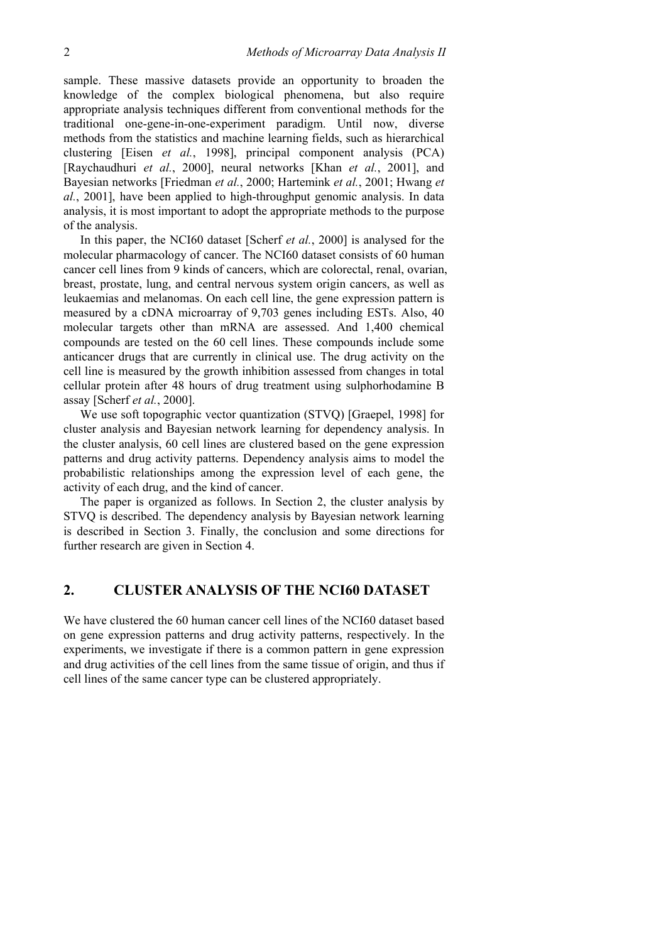sample. These massive datasets provide an opportunity to broaden the knowledge of the complex biological phenomena, but also require appropriate analysis techniques different from conventional methods for the traditional one-gene-in-one-experiment paradigm. Until now, diverse methods from the statistics and machine learning fields, such as hierarchical clustering [Eisen *et al.*, 1998], principal component analysis (PCA) [Raychaudhuri *et al.*, 2000], neural networks [Khan *et al.*, 2001], and Bayesian networks [Friedman *et al.*, 2000; Hartemink *et al.*, 2001; Hwang *et al.*, 2001], have been applied to high-throughput genomic analysis. In data analysis, it is most important to adopt the appropriate methods to the purpose of the analysis.

In this paper, the NCI60 dataset [Scherf *et al.*, 2000] is analysed for the molecular pharmacology of cancer. The NCI60 dataset consists of 60 human cancer cell lines from 9 kinds of cancers, which are colorectal, renal, ovarian, breast, prostate, lung, and central nervous system origin cancers, as well as leukaemias and melanomas. On each cell line, the gene expression pattern is measured by a cDNA microarray of 9,703 genes including ESTs. Also, 40 molecular targets other than mRNA are assessed. And 1,400 chemical compounds are tested on the 60 cell lines. These compounds include some anticancer drugs that are currently in clinical use. The drug activity on the cell line is measured by the growth inhibition assessed from changes in total cellular protein after 48 hours of drug treatment using sulphorhodamine B assay [Scherf *et al.*, 2000].

We use soft topographic vector quantization (STVQ) [Graepel, 1998] for cluster analysis and Bayesian network learning for dependency analysis. In the cluster analysis, 60 cell lines are clustered based on the gene expression patterns and drug activity patterns. Dependency analysis aims to model the probabilistic relationships among the expression level of each gene, the activity of each drug, and the kind of cancer.

The paper is organized as follows. In Section 2, the cluster analysis by STVQ is described. The dependency analysis by Bayesian network learning is described in Section 3. Finally, the conclusion and some directions for further research are given in Section 4.

## **2. CLUSTER ANALYSIS OF THE NCI60 DATASET**

We have clustered the 60 human cancer cell lines of the NCI60 dataset based on gene expression patterns and drug activity patterns, respectively. In the experiments, we investigate if there is a common pattern in gene expression and drug activities of the cell lines from the same tissue of origin, and thus if cell lines of the same cancer type can be clustered appropriately.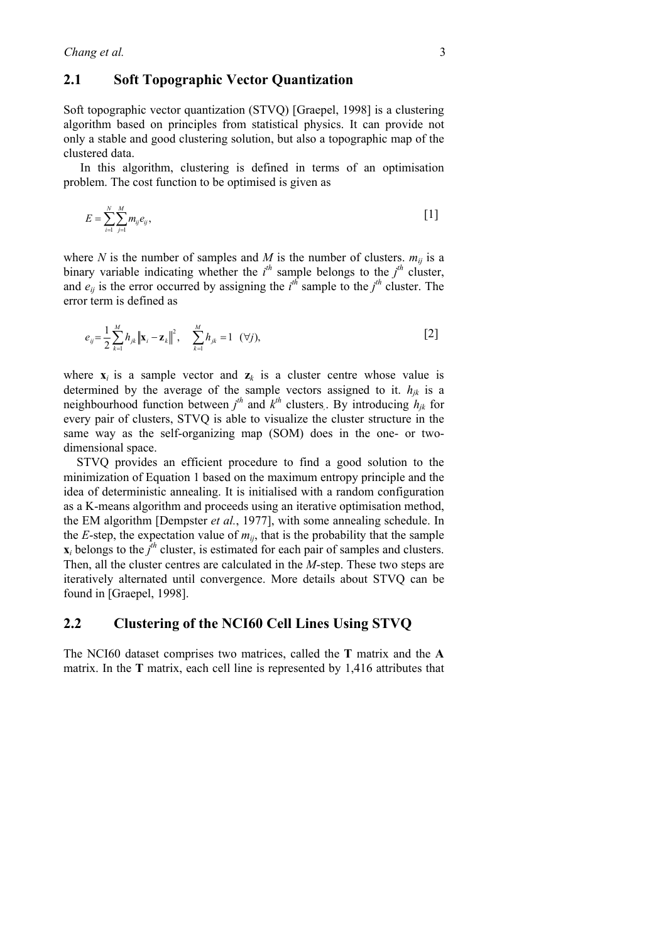### **2.1 Soft Topographic Vector Quantization**

Soft topographic vector quantization (STVQ) [Graepel, 1998] is a clustering algorithm based on principles from statistical physics. It can provide not only a stable and good clustering solution, but also a topographic map of the clustered data.

In this algorithm, clustering is defined in terms of an optimisation problem. The cost function to be optimised is given as

$$
E = \sum_{i=1}^{N} \sum_{j=1}^{M} m_{ij} e_{ij},
$$
 [1]

where *N* is the number of samples and *M* is the number of clusters.  $m_{ij}$  is a binary variable indicating whether the  $i^h$  sample belongs to the  $j^h$  cluster, and  $e_{ij}$  is the error occurred by assigning the  $i^{th}$  sample to the  $j^{th}$  cluster. The error term is defined as

$$
e_{ij} = \frac{1}{2} \sum_{k=1}^{M} h_{jk} ||\mathbf{x}_i - \mathbf{z}_k||^2, \quad \sum_{k=1}^{M} h_{jk} = 1 \quad (\forall j), \tag{2}
$$

where  $\mathbf{x}_i$  is a sample vector and  $\mathbf{z}_k$  is a cluster centre whose value is determined by the average of the sample vectors assigned to it.  $h_{jk}$  is a neighbourhood function between  $j^{th}$  and  $k^{th}$  clusters. By introducing  $h_{jk}$  for every pair of clusters, STVQ is able to visualize the cluster structure in the same way as the self-organizing map (SOM) does in the one- or twodimensional space.

STVQ provides an efficient procedure to find a good solution to the minimization of Equation 1 based on the maximum entropy principle and the idea of deterministic annealing. It is initialised with a random configuration as a K-means algorithm and proceeds using an iterative optimisation method, the EM algorithm [Dempster *et al.*, 1977], with some annealing schedule. In the *E*-step, the expectation value of  $m_{ii}$ , that is the probability that the sample  $\mathbf{x}_i$  belongs to the  $j^{\text{th}}$  cluster, is estimated for each pair of samples and clusters. Then, all the cluster centres are calculated in the *M*-step. These two steps are iteratively alternated until convergence. More details about STVQ can be found in [Graepel, 1998].

### **2.2 Clustering of the NCI60 Cell Lines Using STVQ**

The NCI60 dataset comprises two matrices, called the **T** matrix and the **A** matrix. In the **T** matrix, each cell line is represented by 1,416 attributes that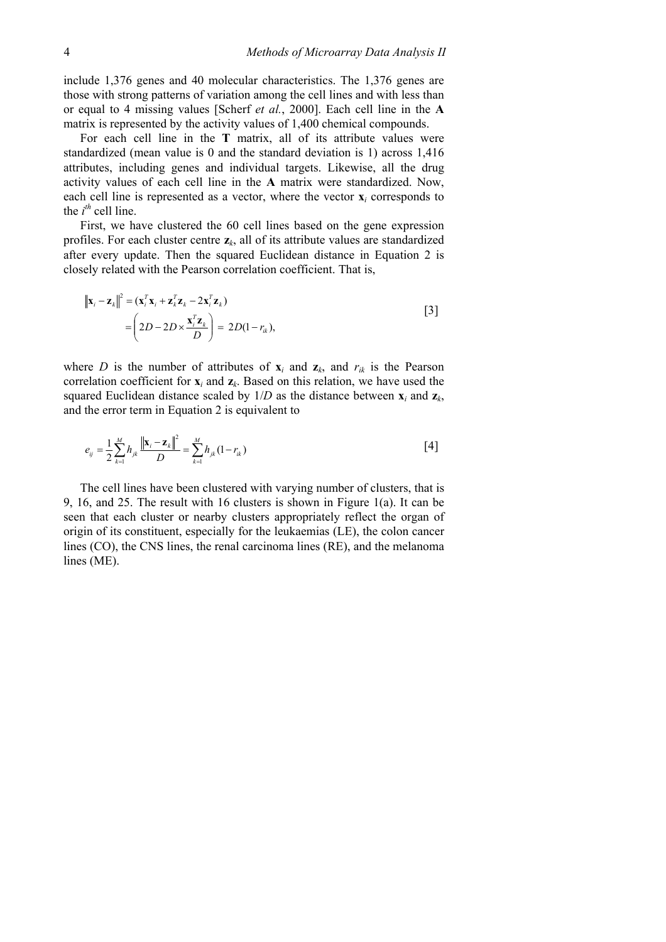include 1,376 genes and 40 molecular characteristics. The 1,376 genes are those with strong patterns of variation among the cell lines and with less than or equal to 4 missing values [Scherf *et al.*, 2000]. Each cell line in the **A** matrix is represented by the activity values of 1,400 chemical compounds.

For each cell line in the **T** matrix, all of its attribute values were standardized (mean value is 0 and the standard deviation is 1) across 1,416 attributes, including genes and individual targets. Likewise, all the drug activity values of each cell line in the **A** matrix were standardized. Now, each cell line is represented as a vector, where the vector  $\mathbf{x}_i$  corresponds to the  $i^{th}$  cell line.

First, we have clustered the 60 cell lines based on the gene expression profiles. For each cluster centre **z***k*, all of its attribute values are standardized after every update. Then the squared Euclidean distance in Equation 2 is closely related with the Pearson correlation coefficient. That is,

$$
\|\mathbf{x}_{i} - \mathbf{z}_{k}\|^{2} = (\mathbf{x}_{i}^{T}\mathbf{x}_{i} + \mathbf{z}_{k}^{T}\mathbf{z}_{k} - 2\mathbf{x}_{i}^{T}\mathbf{z}_{k})
$$
\n
$$
= \left(2D - 2D \times \frac{\mathbf{x}_{i}^{T}\mathbf{z}_{k}}{D}\right) = 2D(1 - r_{ik}),
$$
\n
$$
\tag{3}
$$

where *D* is the number of attributes of  $\mathbf{x}_i$  and  $\mathbf{z}_k$ , and  $r_{ik}$  is the Pearson correlation coefficient for  $\mathbf{x}_i$  and  $\mathbf{z}_k$ . Based on this relation, we have used the squared Euclidean distance scaled by  $1/D$  as the distance between  $\mathbf{x}_i$  and  $\mathbf{z}_k$ , and the error term in Equation 2 is equivalent to

$$
e_{ij} = \frac{1}{2} \sum_{k=1}^{M} h_{jk} \frac{\left\| \mathbf{x}_i - \mathbf{z}_k \right\|^2}{D} = \sum_{k=1}^{M} h_{jk} (1 - r_{ik}) \tag{4}
$$

The cell lines have been clustered with varying number of clusters, that is 9, 16, and 25. The result with 16 clusters is shown in Figure 1(a). It can be seen that each cluster or nearby clusters appropriately reflect the organ of origin of its constituent, especially for the leukaemias (LE), the colon cancer lines (CO), the CNS lines, the renal carcinoma lines (RE), and the melanoma lines (ME).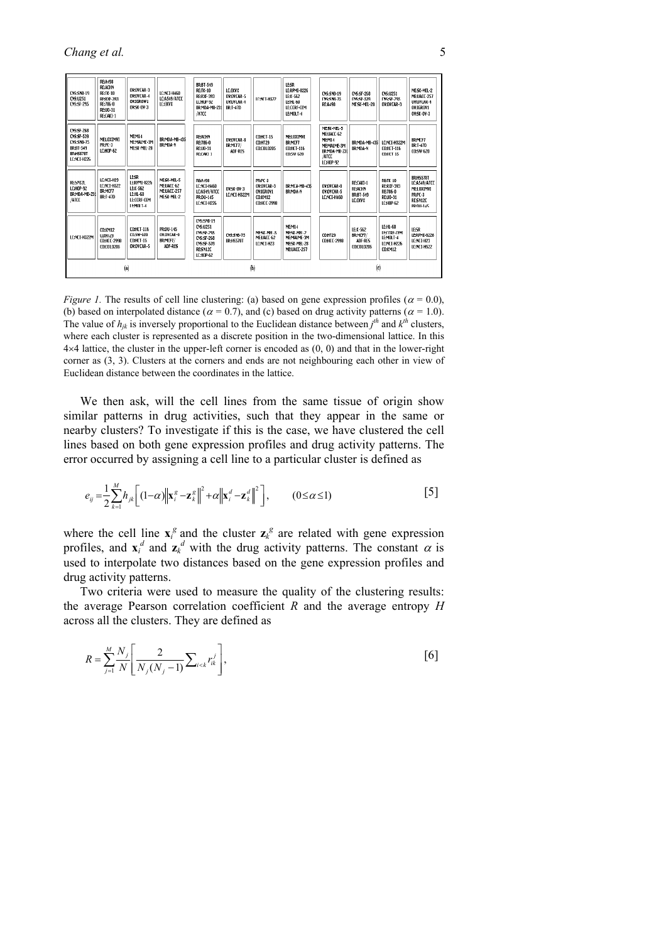| <b>CNS:SNB-19</b><br><b>CNS:U251</b><br><b>CNS:SF-295</b>                                                   | <b>RE:A498</b><br><b>REACHN</b><br><b>RE:TK-10</b><br><b>RE:RXF-393</b><br>RE:786-0<br>RE:UO-31<br>RE:CAKI-1 | OV:OVCAR-3<br>OV:OVCAR-4<br>OV:IGROW1<br>OV:5K-OV-3                             | LE:NET-H460<br>LC:A549/ATCC<br>LC:EKYX                       | <b>BR:BT-549</b><br>RE:TK-10<br><b>RE:RXF-393</b><br><b>LC:HOP-92</b><br>BR:MDA-MB-231<br>/ATCC                       | LC:EKVX<br>OV:OVCAR-5<br>OV:OVCAR-4<br><b>BR:T-47D</b> | LC:NCT-H522                                                         | <b>LE:SR</b><br>LE:RPMI-8226<br>LE:K-562<br>LE:HL-60<br>LE:CCRF-CEM<br>LEMOLT-4 | <b>CNS:SNB-19</b><br><b>CNS:SNB-75</b><br><b>RE:A498</b>                               | <b>CNS:SE-268</b><br><b>CNS:SF-539</b><br>MF:SK-MFI-28     | <b>CNS:U251</b><br><b>CNS:SE-295</b><br>OV:OVCAR-3                        | ME:SK-MEL-2<br>ME:UACC-257<br>OV:OVCAR-4<br>OV:IGROV1<br>OV:SK-0V-3                      |
|-------------------------------------------------------------------------------------------------------------|--------------------------------------------------------------------------------------------------------------|---------------------------------------------------------------------------------|--------------------------------------------------------------|-----------------------------------------------------------------------------------------------------------------------|--------------------------------------------------------|---------------------------------------------------------------------|---------------------------------------------------------------------------------|----------------------------------------------------------------------------------------|------------------------------------------------------------|---------------------------------------------------------------------------|------------------------------------------------------------------------------------------|
| <b>CNS:SF-268</b><br><b>CNS:SF-539</b><br><b>CNS:SNB-75</b><br>BR:BT-549<br><b>BR:HS578T</b><br>LC:NCI-H226 | ME:LOXIMVI<br>PR:PC-3<br>LC:HOP-62                                                                           | ME:M14<br>MF:MAI MF-3M<br>MF:SK-MFI-28                                          | BR:MDA-MB-435<br>BR:MDA-N                                    | <b>REACHN</b><br>RE:786-0<br>RE:UO-31<br>RE:CAKI 1                                                                    | OV:OVCAR-8<br>BR:MCF7/<br>ADF-RES                      | <b>CO:HCT-15</b><br><b>CO:HT29</b><br>CO:COLO205                    | ME:LOXIMVI<br><b>BR:MCF7</b><br><b>CO:HCT-116</b><br><b>CO:SW 620</b>           | ME:SK-MEL-5<br>ME:UACC-62<br>MEM14<br>MEMALME-3M<br>BR:MDA-MB-23<br>/ATCC<br>LC:HOP-92 | BR:MDA-MB-435<br>BR:MDA-N                                  | LC:NCI-H322M<br><b>CO:HCT-116</b><br>CO:HCT 15                            | BR:MCF7<br><b>BR:T-47D</b><br>CO:SW-620                                                  |
| RESNIZL<br>LC:HOP-92<br>BR:MDA-MB-231<br>/ATCC                                                              | LC:NET-H23<br>LC:NCI-H522<br><b>BR:MCF7</b><br><b>BR:T-47D</b>                                               | LE:SR<br>LE:RPMI-822b<br>LE:K-562<br>LE:HL-60<br><b>LE:CCRF-CEM</b><br>LEMOLT-4 | MF-SY-MFI-5<br>ME:UACC-62<br>ME:UACC-257<br>ME:SK-MEL-2      | <b>RE:A198</b><br>LE:NET-H460<br>LC:A549/ATCC<br><b>PR:DU-145</b><br>LC:NCI-H226                                      | 0V:SK-0V-3<br>LC:NCT-H322M                             | PR:PC-3<br>OV:OVEAR-3<br>OV:IGROV1<br>CO:KM12<br><b>CO:HCC-2998</b> | <b>BR:MFA-MB-43\$</b><br>BR:MDA-N                                               | OV:OVEAR-8<br>OV:OVCAR-5<br>LC:NCI-H460                                                | RE:CAKI-1<br><b>RE:ACHN</b><br><b>BR:BT-549</b><br>LC:EKVX | <b>RE:TK-10</b><br>RE:RXF-393<br>RE:786-0<br><b>RE:UO-31</b><br>LC:HOP-62 | <b>BR:HS578T</b><br>LC:A549/ATCC<br>MELOXIMVI<br>PR:PC-3<br>RESN12C<br><b>PR:DII-145</b> |
| LC:NCI-H322M                                                                                                | <b>CO:KM12</b><br>CO:HT29<br><b>CO:HCC-2998</b><br>CO:COLO205                                                | <b>CO:HCT-116</b><br>CO:SW-620<br><b>CONCT-15</b><br>OV:OVCAR-5                 | <b>PR:DU-145</b><br>OV:OVCAR-0<br>BR:MCF7/<br><b>ADF-RES</b> | <b>CNS:SNB-19</b><br>CN5:U251<br><b>CNS:SF-295</b><br><b>CNS:SF-268</b><br><b>CNS:SF-539</b><br>RE:SN12C<br>LC:HOP-62 | CNS:SNB-75<br><b>BR:HS578T</b>                         | ME:SK-MEL-5<br>ME:UACC-62<br>LC:NCI-H23                             | ME:M14<br>ME:SK-MEL-2<br>ME:MALME-3M<br>ME:SK-MEL-28<br>ME:UACC-257             | <b>CO:HT29</b><br>CO:HCC-2998                                                          | LE:K-562<br>BR:MCF7/<br>ADF-RES<br><b>CO:COLO205</b>       | LE:HL-60<br><b>LE:CCRF-CEM</b><br>LE:MOLT-4<br>LC:NCI-H226<br>CO:KM12     | LE:SR<br>LE:RPMI-8226<br>LC:NCI-H23<br>LC:NCI-H522                                       |
|                                                                                                             | (a)                                                                                                          |                                                                                 |                                                              | (b)                                                                                                                   |                                                        |                                                                     | $\left( 0 \right)$                                                              |                                                                                        |                                                            |                                                                           |                                                                                          |

*Figure 1.* The results of cell line clustering: (a) based on gene expression profiles ( $\alpha$  = 0.0), (b) based on interpolated distance ( $\alpha = 0.7$ ), and (c) based on drug activity patterns ( $\alpha = 1.0$ ). The value of  $h_{jk}$  is inversely proportional to the Euclidean distance between  $j^{th}$  and  $k^{th}$  clusters, where each cluster is represented as a discrete position in the two-dimensional lattice. In this  $4\times4$  lattice, the cluster in the upper-left corner is encoded as  $(0, 0)$  and that in the lower-right corner as (3, 3). Clusters at the corners and ends are not neighbouring each other in view of Euclidean distance between the coordinates in the lattice.

We then ask, will the cell lines from the same tissue of origin show similar patterns in drug activities, such that they appear in the same or nearby clusters? To investigate if this is the case, we have clustered the cell lines based on both gene expression profiles and drug activity patterns. The error occurred by assigning a cell line to a particular cluster is defined as

$$
e_{ij} = \frac{1}{2} \sum_{k=1}^{M} h_{jk} \left[ (1-\alpha) \left\| \mathbf{x}_i^g - \mathbf{z}_k^g \right\|^2 + \alpha \left\| \mathbf{x}_i^d - \mathbf{z}_k^d \right\|^2 \right], \qquad (0 \le \alpha \le 1)
$$

where the cell line  $\mathbf{x}_i^g$  and the cluster  $\mathbf{z}_k^g$  are related with gene expression profiles, and  $\mathbf{x}_i^d$  and  $\mathbf{z}_k^d$  with the drug activity patterns. The constant  $\alpha$  is used to interpolate two distances based on the gene expression profiles and drug activity patterns.

Two criteria were used to measure the quality of the clustering results: the average Pearson correlation coefficient *R* and the average entropy *H* across all the clusters. They are defined as

$$
R = \sum_{j=1}^{M} \frac{N_j}{N} \left[ \frac{2}{N_j (N_j - 1)} \sum_{i < k} r_{ik}^j \right],\tag{6}
$$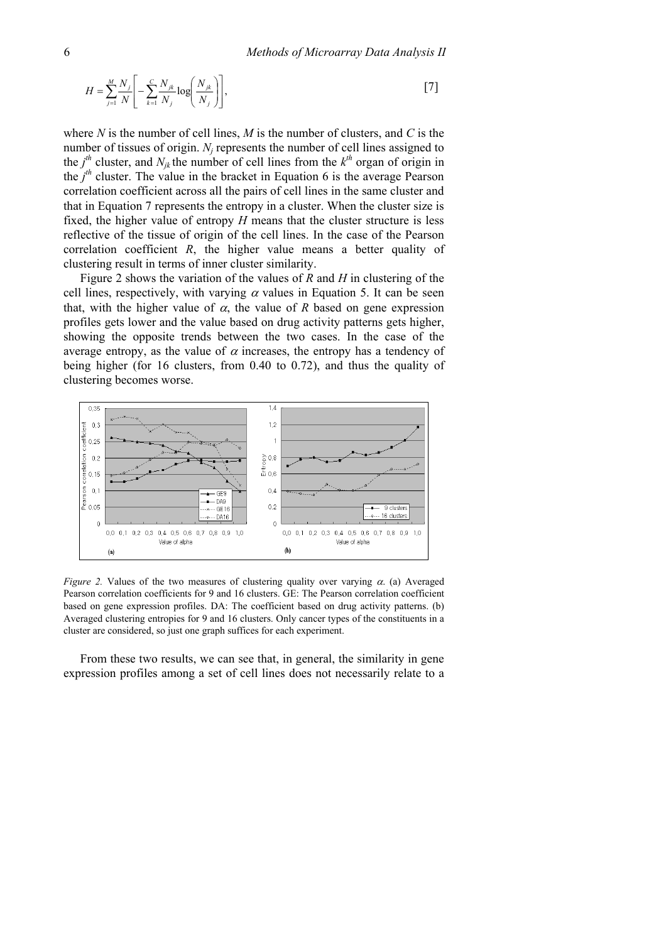$$
H = \sum_{j=1}^{M} \frac{N_j}{N} \left[ -\sum_{k=1}^{C} \frac{N_{jk}}{N_j} \log \left( \frac{N_{jk}}{N_j} \right) \right],\tag{7}
$$

where *N* is the number of cell lines, *M* is the number of clusters, and *C* is the number of tissues of origin. *N<sub>i</sub>* represents the number of cell lines assigned to the  $j<sup>th</sup>$  cluster, and  $N_{jk}$  the number of cell lines from the  $k<sup>th</sup>$  organ of origin in the  $j<sup>th</sup>$  cluster. The value in the bracket in Equation 6 is the average Pearson correlation coefficient across all the pairs of cell lines in the same cluster and that in Equation 7 represents the entropy in a cluster. When the cluster size is fixed, the higher value of entropy *H* means that the cluster structure is less reflective of the tissue of origin of the cell lines. In the case of the Pearson correlation coefficient *R*, the higher value means a better quality of clustering result in terms of inner cluster similarity.

Figure 2 shows the variation of the values of *R* and *H* in clustering of the cell lines, respectively, with varying  $\alpha$  values in Equation 5. It can be seen that, with the higher value of  $\alpha$ , the value of  $R$  based on gene expression profiles gets lower and the value based on drug activity patterns gets higher, showing the opposite trends between the two cases. In the case of the average entropy, as the value of  $\alpha$  increases, the entropy has a tendency of being higher (for 16 clusters, from 0.40 to 0.72), and thus the quality of clustering becomes worse.



*Figure 2.* Values of the two measures of clustering quality over varying  $\alpha$ . (a) Averaged Pearson correlation coefficients for 9 and 16 clusters. GE: The Pearson correlation coefficient based on gene expression profiles. DA: The coefficient based on drug activity patterns. (b) Averaged clustering entropies for 9 and 16 clusters. Only cancer types of the constituents in a cluster are considered, so just one graph suffices for each experiment.

From these two results, we can see that, in general, the similarity in gene expression profiles among a set of cell lines does not necessarily relate to a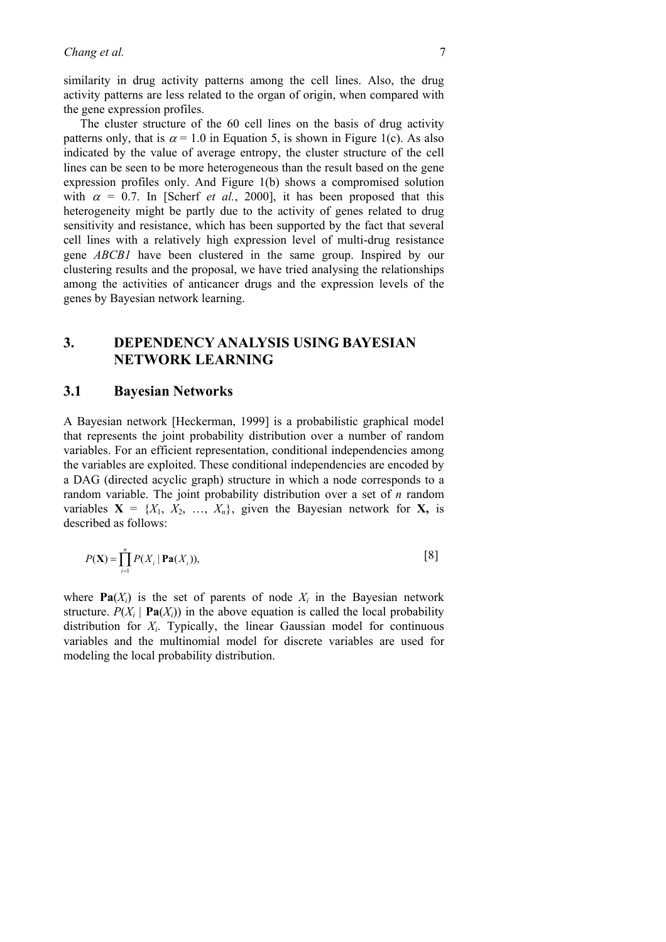similarity in drug activity patterns among the cell lines. Also, the drug activity patterns are less related to the organ of origin, when compared with the gene expression profiles.

The cluster structure of the 60 cell lines on the basis of drug activity patterns only, that is  $\alpha = 1.0$  in Equation 5, is shown in Figure 1(c). As also indicated by the value of average entropy, the cluster structure of the cell lines can be seen to be more heterogeneous than the result based on the gene expression profiles only. And Figure 1(b) shows a compromised solution with  $\alpha = 0.7$ . In [Scherf *et al.*, 2000], it has been proposed that this heterogeneity might be partly due to the activity of genes related to drug sensitivity and resistance, which has been supported by the fact that several cell lines with a relatively high expression level of multi-drug resistance gene *ABCB1* have been clustered in the same group. Inspired by our clustering results and the proposal, we have tried analysing the relationships among the activities of anticancer drugs and the expression levels of the genes by Bayesian network learning.

## **3. DEPENDENCY ANALYSIS USING BAYESIAN NETWORK LEARNING**

### **3.1 Bayesian Networks**

A Bayesian network [Heckerman, 1999] is a probabilistic graphical model that represents the joint probability distribution over a number of random variables. For an efficient representation, conditional independencies among the variables are exploited. These conditional independencies are encoded by a DAG (directed acyclic graph) structure in which a node corresponds to a random variable. The joint probability distribution over a set of *n* random variables  $X = \{X_1, X_2, ..., X_n\}$ , given the Bayesian network for X, is described as follows:

$$
P(\mathbf{X}) = \prod_{i=1}^{n} P(X_i \mid \mathbf{Pa}(X_i)),
$$
 [8]

where  $\textbf{Pa}(X_i)$  is the set of parents of node  $X_i$  in the Bayesian network structure.  $P(X_i | \textbf{Pa}(X_i))$  in the above equation is called the local probability distribution for *Xi*. Typically, the linear Gaussian model for continuous variables and the multinomial model for discrete variables are used for modeling the local probability distribution.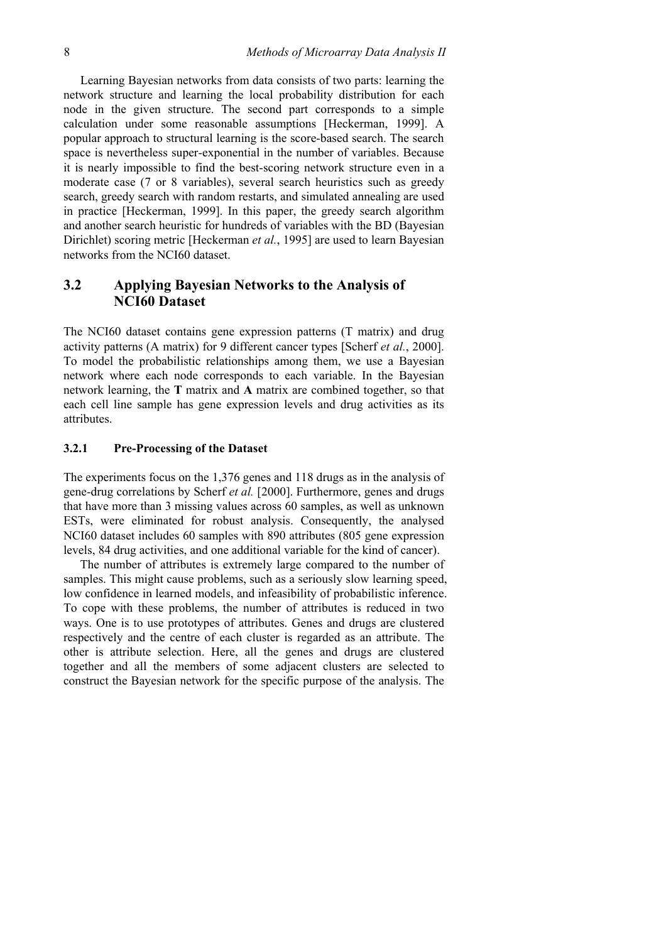Learning Bayesian networks from data consists of two parts: learning the network structure and learning the local probability distribution for each node in the given structure. The second part corresponds to a simple calculation under some reasonable assumptions [Heckerman, 1999]. A popular approach to structural learning is the score-based search. The search space is nevertheless super-exponential in the number of variables. Because it is nearly impossible to find the best-scoring network structure even in a moderate case (7 or 8 variables), several search heuristics such as greedy search, greedy search with random restarts, and simulated annealing are used in practice [Heckerman, 1999]. In this paper, the greedy search algorithm and another search heuristic for hundreds of variables with the BD (Bayesian Dirichlet) scoring metric [Heckerman *et al.*, 1995] are used to learn Bayesian networks from the NCI60 dataset.

## **3.2 Applying Bayesian Networks to the Analysis of NCI60 Dataset**

The NCI60 dataset contains gene expression patterns (T matrix) and drug activity patterns (A matrix) for 9 different cancer types [Scherf *et al.*, 2000]. To model the probabilistic relationships among them, we use a Bayesian network where each node corresponds to each variable. In the Bayesian network learning, the **T** matrix and **A** matrix are combined together, so that each cell line sample has gene expression levels and drug activities as its attributes.

#### **3.2.1 Pre-Processing of the Dataset**

The experiments focus on the 1,376 genes and 118 drugs as in the analysis of gene-drug correlations by Scherf *et al.* [2000]. Furthermore, genes and drugs that have more than 3 missing values across 60 samples, as well as unknown ESTs, were eliminated for robust analysis. Consequently, the analysed NCI60 dataset includes 60 samples with 890 attributes (805 gene expression levels, 84 drug activities, and one additional variable for the kind of cancer).

The number of attributes is extremely large compared to the number of samples. This might cause problems, such as a seriously slow learning speed, low confidence in learned models, and infeasibility of probabilistic inference. To cope with these problems, the number of attributes is reduced in two ways. One is to use prototypes of attributes. Genes and drugs are clustered respectively and the centre of each cluster is regarded as an attribute. The other is attribute selection. Here, all the genes and drugs are clustered together and all the members of some adjacent clusters are selected to construct the Bayesian network for the specific purpose of the analysis. The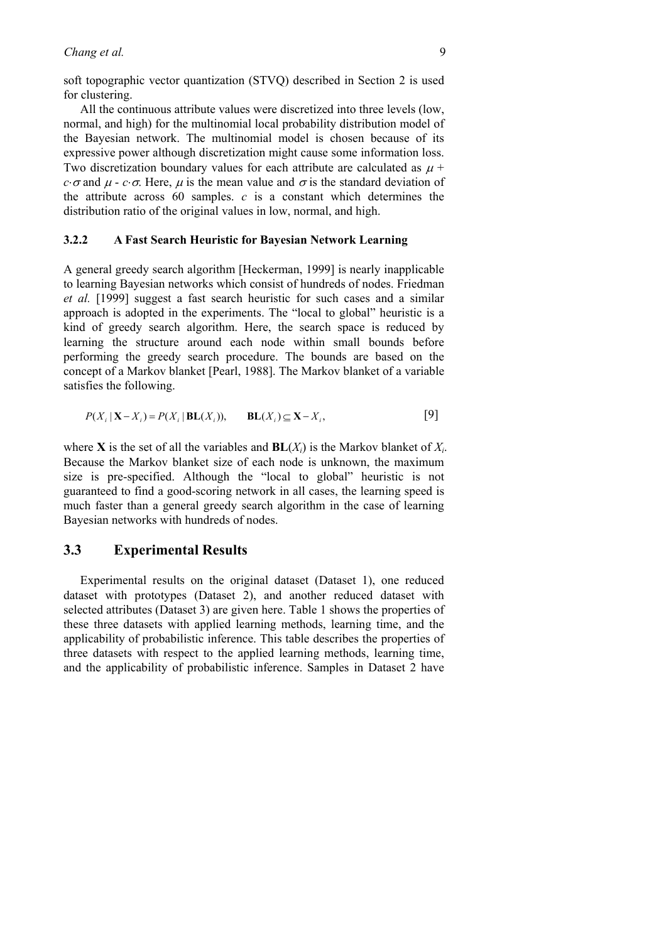soft topographic vector quantization (STVQ) described in Section 2 is used for clustering.

All the continuous attribute values were discretized into three levels (low, normal, and high) for the multinomial local probability distribution model of the Bayesian network. The multinomial model is chosen because of its expressive power although discretization might cause some information loss. Two discretization boundary values for each attribute are calculated as  $\mu$  + *c*⋅σ and  $\mu$  - *c*⋅σ. Here,  $\mu$  is the mean value and  $\sigma$  is the standard deviation of the attribute across 60 samples. *c* is a constant which determines the distribution ratio of the original values in low, normal, and high.

#### **3.2.2 A Fast Search Heuristic for Bayesian Network Learning**

A general greedy search algorithm [Heckerman, 1999] is nearly inapplicable to learning Bayesian networks which consist of hundreds of nodes. Friedman *et al.* [1999] suggest a fast search heuristic for such cases and a similar approach is adopted in the experiments. The "local to global" heuristic is a kind of greedy search algorithm. Here, the search space is reduced by learning the structure around each node within small bounds before performing the greedy search procedure. The bounds are based on the concept of a Markov blanket [Pearl, 1988]. The Markov blanket of a variable satisfies the following.

$$
P(X_i | \mathbf{X} - X_i) = P(X_i | \mathbf{BL}(X_i)), \qquad \mathbf{BL}(X_i) \subseteq \mathbf{X} - X_i,
$$
 [9]

where **X** is the set of all the variables and  $BL(X_i)$  is the Markov blanket of  $X_i$ . Because the Markov blanket size of each node is unknown, the maximum size is pre-specified. Although the "local to global" heuristic is not guaranteed to find a good-scoring network in all cases, the learning speed is much faster than a general greedy search algorithm in the case of learning Bayesian networks with hundreds of nodes.

### **3.3 Experimental Results**

Experimental results on the original dataset (Dataset 1), one reduced dataset with prototypes (Dataset 2), and another reduced dataset with selected attributes (Dataset 3) are given here. Table 1 shows the properties of these three datasets with applied learning methods, learning time, and the applicability of probabilistic inference. This table describes the properties of three datasets with respect to the applied learning methods, learning time, and the applicability of probabilistic inference. Samples in Dataset 2 have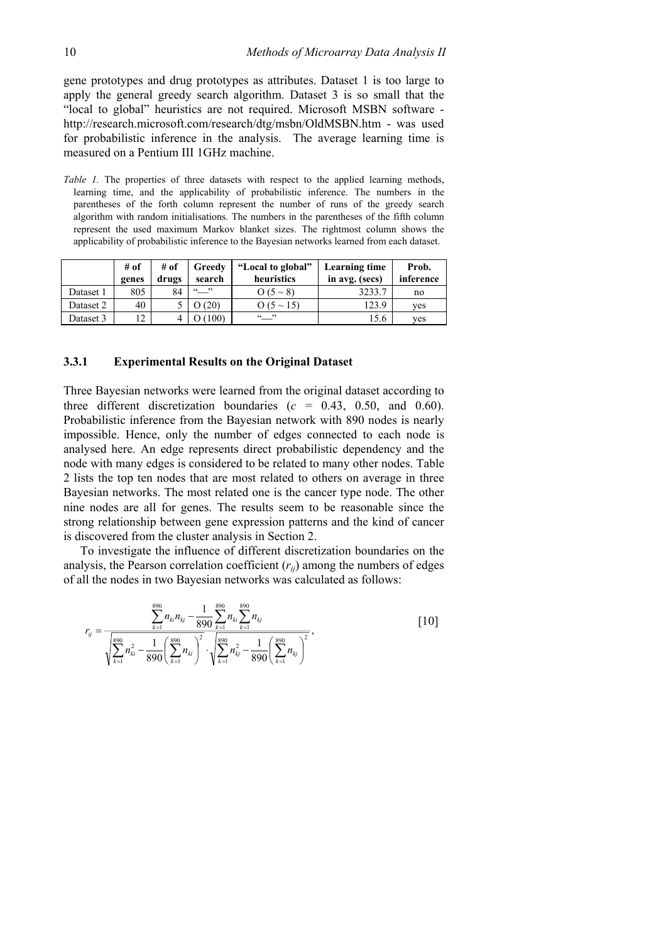gene prototypes and drug prototypes as attributes. Dataset 1 is too large to apply the general greedy search algorithm. Dataset 3 is so small that the "local to global" heuristics are not required. Microsoft MSBN software http://research.microsoft.com/research/dtg/msbn/OldMSBN.htm - was used for probabilistic inference in the analysis. The average learning time is measured on a Pentium III 1GHz machine.

*Table 1*. The properties of three datasets with respect to the applied learning methods, learning time, and the applicability of probabilistic inference. The numbers in the parentheses of the forth column represent the number of runs of the greedy search algorithm with random initialisations. The numbers in the parentheses of the fifth column represent the used maximum Markov blanket sizes. The rightmost column shows the applicability of probabilistic inference to the Bayesian networks learned from each dataset.

|           | # of<br>genes | # of<br>drugs | Greedy<br>search        | "Local to global"<br>heuristics | Learning time<br>in avg. (secs) | Prob.<br>inference |
|-----------|---------------|---------------|-------------------------|---------------------------------|---------------------------------|--------------------|
| Dataset 1 | 805           | 84            | $\frac{\cdots}{\cdots}$ | $O(5 \sim 8)$                   | 3233.7                          | no                 |
| Dataset 2 | 40            |               | 0(20)                   | $Q(5 \sim 15)$                  | 123.9                           | yes                |
| Dataset 3 | 12            |               | 100)                    | $66 - 22$                       | 15.6                            | yes                |

#### **3.3.1 Experimental Results on the Original Dataset**

Three Bayesian networks were learned from the original dataset according to three different discretization boundaries  $(c = 0.43, 0.50, \text{ and } 0.60)$ . Probabilistic inference from the Bayesian network with 890 nodes is nearly impossible. Hence, only the number of edges connected to each node is analysed here. An edge represents direct probabilistic dependency and the node with many edges is considered to be related to many other nodes. Table 2 lists the top ten nodes that are most related to others on average in three Bayesian networks. The most related one is the cancer type node. The other nine nodes are all for genes. The results seem to be reasonable since the strong relationship between gene expression patterns and the kind of cancer is discovered from the cluster analysis in Section 2.

To investigate the influence of different discretization boundaries on the analysis, the Pearson correlation coefficient  $(r_{ii})$  among the numbers of edges of all the nodes in two Bayesian networks was calculated as follows:

$$
r_{ij} = \frac{\sum_{k=1}^{890} n_{ki} n_{kj} - \frac{1}{890} \sum_{k=1}^{890} n_{ki} \sum_{k=1}^{890} n_{kj}}{\sqrt{\sum_{k=1}^{890} n_{ki}^2 - \frac{1}{890} (\sum_{k=1}^{890} n_{ki})^2} \cdot \sqrt{\sum_{k=1}^{890} n_{kj}^2 - \frac{1}{890} (\sum_{k=1}^{890} n_{kj})^2}},
$$
\n[10]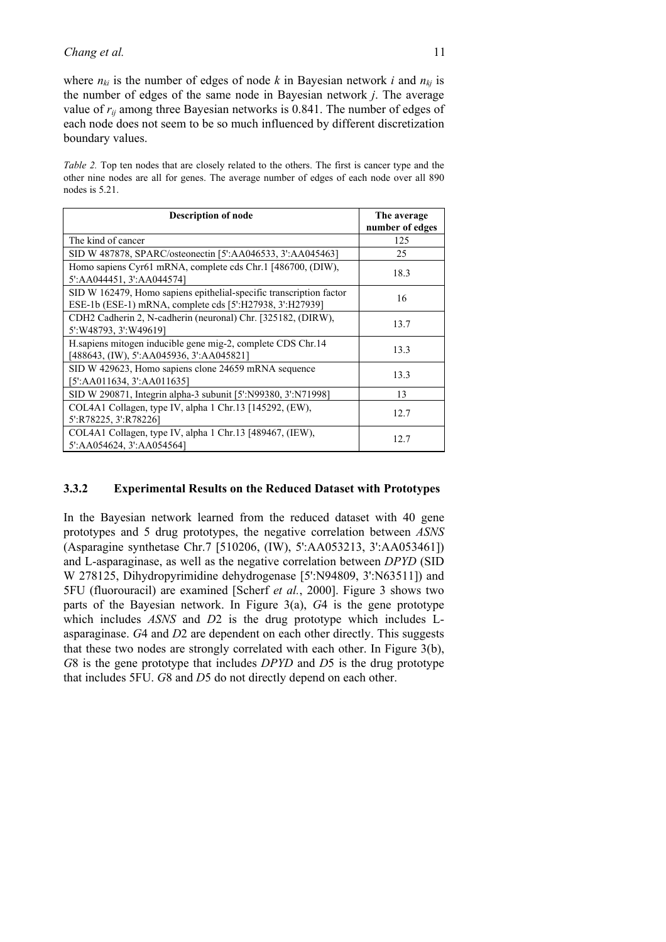where  $n_{ki}$  is the number of edges of node k in Bayesian network *i* and  $n_{ki}$  is the number of edges of the same node in Bayesian network *j*. The average value of *rij* among three Bayesian networks is 0.841. The number of edges of each node does not seem to be so much influenced by different discretization boundary values.

*Table 2.* Top ten nodes that are closely related to the others. The first is cancer type and the other nine nodes are all for genes. The average number of edges of each node over all 890 nodes is 5.21.

| <b>Description of node</b>                                                                                                      | The average     |
|---------------------------------------------------------------------------------------------------------------------------------|-----------------|
|                                                                                                                                 | number of edges |
| The kind of cancer                                                                                                              | 125             |
| SID W 487878, SPARC/osteonectin [5':AA046533, 3':AA045463]                                                                      | 25              |
| Homo sapiens Cyr61 mRNA, complete cds Chr.1 [486700, (DIW),<br>5':AA044451, 3':AA044574]                                        | 18.3            |
| SID W 162479, Homo sapiens epithelial-specific transcription factor<br>ESE-1b (ESE-1) mRNA, complete cds [5':H27938, 3':H27939] | 16              |
| CDH2 Cadherin 2, N-cadherin (neuronal) Chr. [325182, (DIRW),<br>5': W48793, 3': W49619]                                         | 13.7            |
| H. sapiens mitogen inducible gene mig-2, complete CDS Chr. 14<br>[488643, (IW), 5':AA045936, 3':AA045821]                       | 13.3            |
| SID W 429623, Homo sapiens clone 24659 mRNA sequence<br>[5':AA011634, 3':AA011635]                                              | 13.3            |
| SID W 290871, Integrin alpha-3 subunit [5':N99380, 3':N71998]                                                                   | 13              |
| COL4A1 Collagen, type IV, alpha 1 Chr.13 [145292, (EW),<br>5':R78225, 3':R78226]                                                | 12.7            |
| COL4A1 Collagen, type IV, alpha 1 Chr.13 [489467, (IEW),<br>5':AA054624, 3':AA054564]                                           | 12.7            |

#### **3.3.2 Experimental Results on the Reduced Dataset with Prototypes**

In the Bayesian network learned from the reduced dataset with 40 gene prototypes and 5 drug prototypes, the negative correlation between *ASNS* (Asparagine synthetase Chr.7 [510206, (IW), 5':AA053213, 3':AA053461]) and L-asparaginase, as well as the negative correlation between *DPYD* (SID W 278125, Dihydropyrimidine dehydrogenase [5':N94809, 3':N63511]) and 5FU (fluorouracil) are examined [Scherf *et al.*, 2000]. Figure 3 shows two parts of the Bayesian network. In Figure 3(a), *G*4 is the gene prototype which includes *ASNS* and *D*2 is the drug prototype which includes Lasparaginase. *G*4 and *D*2 are dependent on each other directly. This suggests that these two nodes are strongly correlated with each other. In Figure 3(b), *G*8 is the gene prototype that includes *DPYD* and *D*5 is the drug prototype that includes 5FU. *G*8 and *D*5 do not directly depend on each other.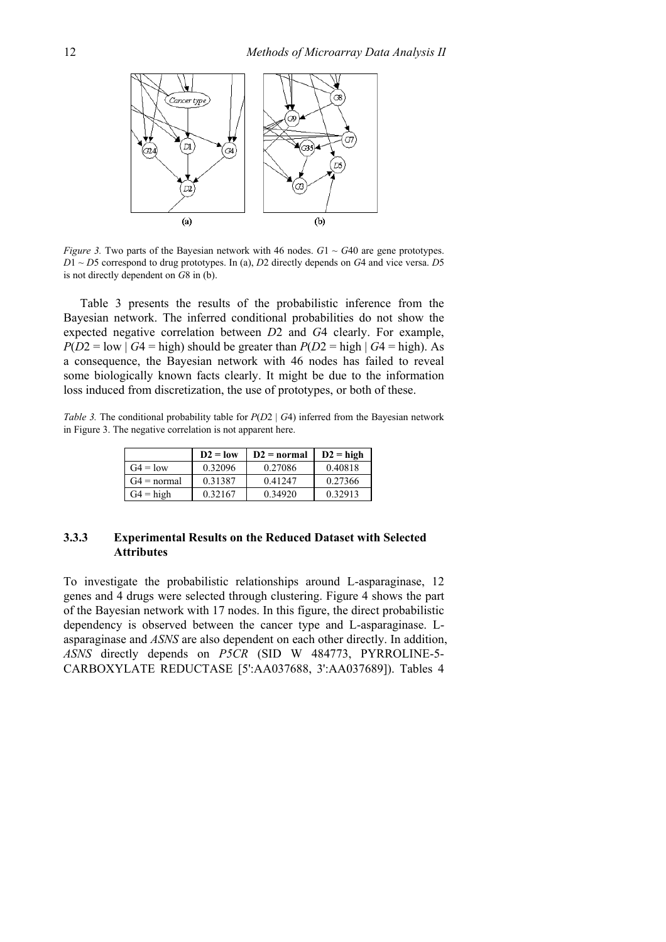

*Figure 3.* Two parts of the Bayesian network with 46 nodes.  $G1 \sim G40$  are gene prototypes. *D*1 ~ *D*5 correspond to drug prototypes. In (a), *D*2 directly depends on *G*4 and vice versa. *D*5 is not directly dependent on *G*8 in (b).

Table 3 presents the results of the probabilistic inference from the Bayesian network. The inferred conditional probabilities do not show the expected negative correlation between *D*2 and *G*4 clearly. For example,  $P(D2 = low | G4 = high)$  should be greater than  $P(D2 = high | G4 = high)$ . As a consequence, the Bayesian network with 46 nodes has failed to reveal some biologically known facts clearly. It might be due to the information loss induced from discretization, the use of prototypes, or both of these.

*Table 3.* The conditional probability table for  $P(D2 | G4)$  inferred from the Bayesian network in Figure 3. The negative correlation is not apparent here.

|               | $D2 = low$ | $D2 = normal$ | $D2 = high$ |
|---------------|------------|---------------|-------------|
| $G4 = low$    | 0.32096    | 0.27086       | 0.40818     |
| $G4 = normal$ | 0.31387    | 0.41247       | 0.27366     |
| $G4 = high$   | 0.32167    | 0.34920       | 0.32913     |

#### **3.3.3 Experimental Results on the Reduced Dataset with Selected Attributes**

To investigate the probabilistic relationships around L-asparaginase, 12 genes and 4 drugs were selected through clustering. Figure 4 shows the part of the Bayesian network with 17 nodes. In this figure, the direct probabilistic dependency is observed between the cancer type and L-asparaginase. Lasparaginase and *ASNS* are also dependent on each other directly. In addition, *ASNS* directly depends on *P5CR* (SID W 484773, PYRROLINE-5- CARBOXYLATE REDUCTASE [5':AA037688, 3':AA037689]). Tables 4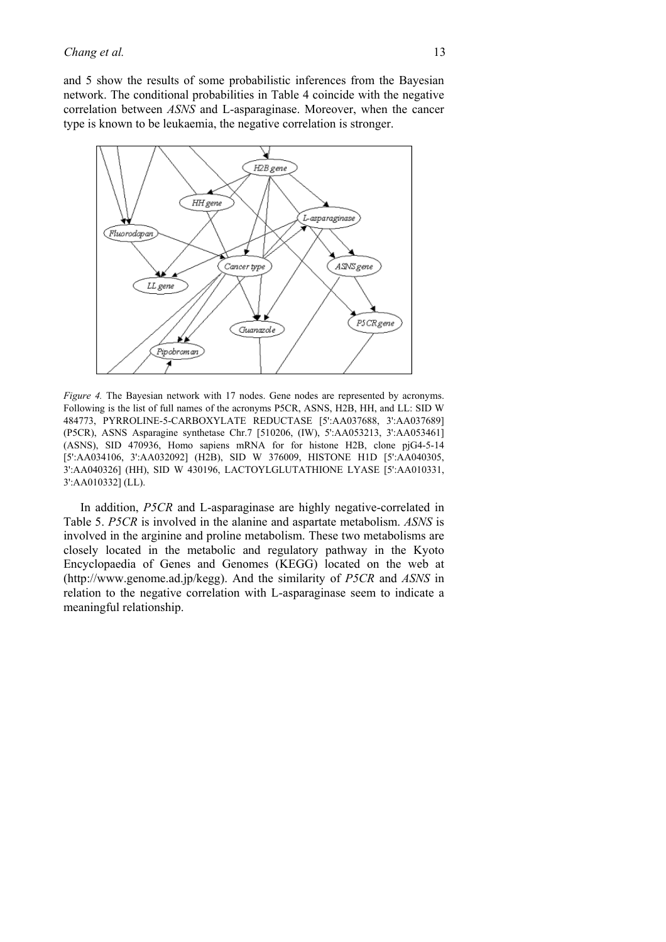and 5 show the results of some probabilistic inferences from the Bayesian network. The conditional probabilities in Table 4 coincide with the negative correlation between *ASNS* and L-asparaginase. Moreover, when the cancer type is known to be leukaemia, the negative correlation is stronger.



*Figure 4.* The Bayesian network with 17 nodes. Gene nodes are represented by acronyms. Following is the list of full names of the acronyms P5CR, ASNS, H2B, HH, and LL: SID W 484773, PYRROLINE-5-CARBOXYLATE REDUCTASE [5':AA037688, 3':AA037689] (P5CR), ASNS Asparagine synthetase Chr.7 [510206, (IW), 5':AA053213, 3':AA053461] (ASNS), SID 470936, Homo sapiens mRNA for for histone H2B, clone pjG4-5-14 [5':AA034106, 3':AA032092] (H2B), SID W 376009, HISTONE H1D [5':AA040305, 3':AA040326] (HH), SID W 430196, LACTOYLGLUTATHIONE LYASE [5':AA010331, 3':AA010332] (LL).

In addition, *P5CR* and L-asparaginase are highly negative-correlated in Table 5. *P5CR* is involved in the alanine and aspartate metabolism. *ASNS* is involved in the arginine and proline metabolism. These two metabolisms are closely located in the metabolic and regulatory pathway in the Kyoto Encyclopaedia of Genes and Genomes (KEGG) located on the web at (http://www.genome.ad.jp/kegg). And the similarity of *P5CR* and *ASNS* in relation to the negative correlation with L-asparaginase seem to indicate a meaningful relationship.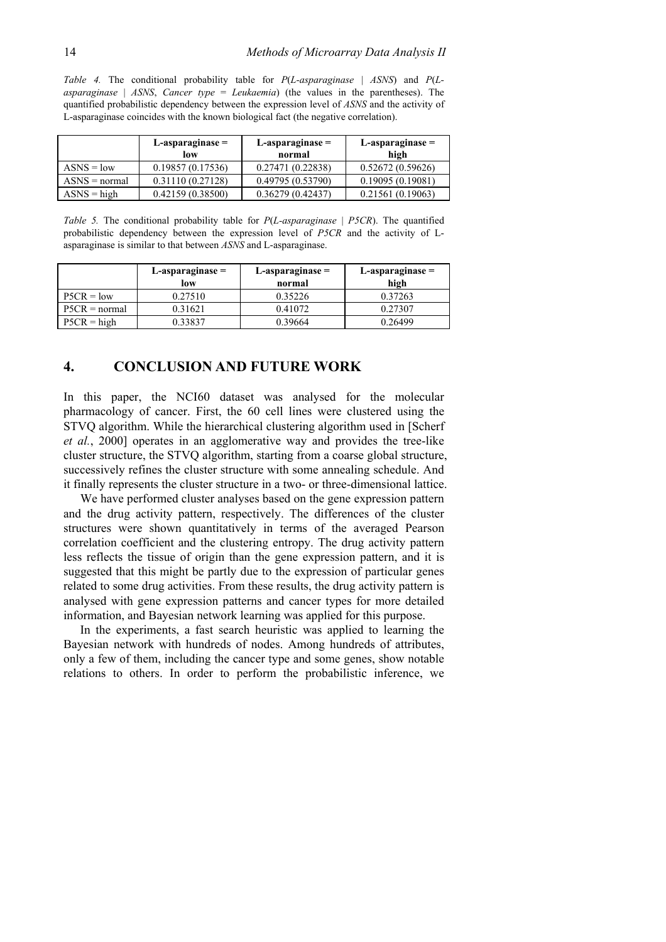*Table 4.* The conditional probability table for *P*(*L-asparaginase* | *ASNS*) and *P*(*Lasparaginase* | *ASNS*, *Cancer type* = *Leukaemia*) (the values in the parentheses). The quantified probabilistic dependency between the expression level of *ASNS* and the activity of L-asparaginase coincides with the known biological fact (the negative correlation).

|                        | $L$ -asparaginase $=$<br>low | $L$ -asparaginase $=$<br>normal | $L$ -asparaginase $=$<br>high |
|------------------------|------------------------------|---------------------------------|-------------------------------|
| $ASNS = low$           | 0.19857(0.17536)             | 0.27471(0.22838)                | 0.52672(0.59626)              |
| $\angle$ ASNS = normal | 0.31110(0.27128)             | 0.49795 (0.53790)               | 0.19095(0.19081)              |
| $ASNS = high$          | 0.42159(0.38500)             | 0.36279(0.42437)                | 0.21561(0.19063)              |

*Table 5.* The conditional probability table for *P*(*L-asparaginase* | *P5CR*). The quantified probabilistic dependency between the expression level of *P5CR* and the activity of Lasparaginase is similar to that between *ASNS* and L-asparaginase.

|                 | $L$ -asparaginase $=$ | L-asparaginase = | L-asparaginase = |
|-----------------|-----------------------|------------------|------------------|
|                 | low                   | normal           | high             |
| $P5CR = low$    | 0.27510               | 0.35226          | 0.37263          |
| $P5CR = normal$ | 0.31621               | 0.41072          | 0.27307          |
| $P5CR = high$   | 0.33837               | 0.39664          | 0.26499          |

### **4. CONCLUSION AND FUTURE WORK**

In this paper, the NCI60 dataset was analysed for the molecular pharmacology of cancer. First, the 60 cell lines were clustered using the STVQ algorithm. While the hierarchical clustering algorithm used in [Scherf *et al.*, 2000] operates in an agglomerative way and provides the tree-like cluster structure, the STVQ algorithm, starting from a coarse global structure, successively refines the cluster structure with some annealing schedule. And it finally represents the cluster structure in a two- or three-dimensional lattice.

We have performed cluster analyses based on the gene expression pattern and the drug activity pattern, respectively. The differences of the cluster structures were shown quantitatively in terms of the averaged Pearson correlation coefficient and the clustering entropy. The drug activity pattern less reflects the tissue of origin than the gene expression pattern, and it is suggested that this might be partly due to the expression of particular genes related to some drug activities. From these results, the drug activity pattern is analysed with gene expression patterns and cancer types for more detailed information, and Bayesian network learning was applied for this purpose.

In the experiments, a fast search heuristic was applied to learning the Bayesian network with hundreds of nodes. Among hundreds of attributes, only a few of them, including the cancer type and some genes, show notable relations to others. In order to perform the probabilistic inference, we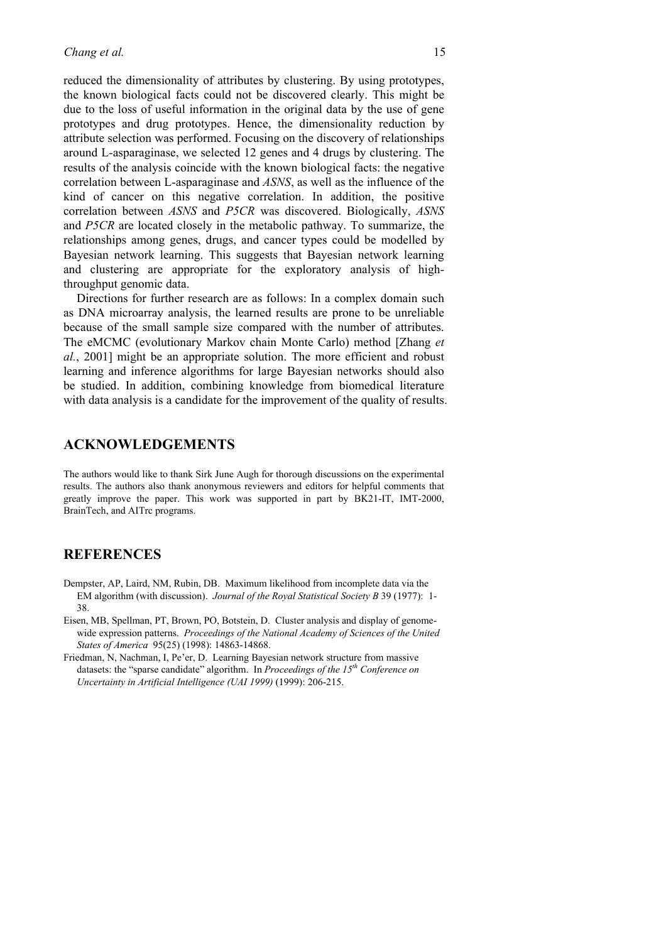reduced the dimensionality of attributes by clustering. By using prototypes, the known biological facts could not be discovered clearly. This might be due to the loss of useful information in the original data by the use of gene prototypes and drug prototypes. Hence, the dimensionality reduction by attribute selection was performed. Focusing on the discovery of relationships around L-asparaginase, we selected 12 genes and 4 drugs by clustering. The results of the analysis coincide with the known biological facts: the negative correlation between L-asparaginase and *ASNS*, as well as the influence of the kind of cancer on this negative correlation. In addition, the positive correlation between *ASNS* and *P5CR* was discovered. Biologically, *ASNS* and *P5CR* are located closely in the metabolic pathway. To summarize, the relationships among genes, drugs, and cancer types could be modelled by Bayesian network learning. This suggests that Bayesian network learning and clustering are appropriate for the exploratory analysis of highthroughput genomic data.

Directions for further research are as follows: In a complex domain such as DNA microarray analysis, the learned results are prone to be unreliable because of the small sample size compared with the number of attributes. The eMCMC (evolutionary Markov chain Monte Carlo) method [Zhang *et al.*, 2001] might be an appropriate solution. The more efficient and robust learning and inference algorithms for large Bayesian networks should also be studied. In addition, combining knowledge from biomedical literature with data analysis is a candidate for the improvement of the quality of results.

#### **ACKNOWLEDGEMENTS**

The authors would like to thank Sirk June Augh for thorough discussions on the experimental results. The authors also thank anonymous reviewers and editors for helpful comments that greatly improve the paper. This work was supported in part by BK21-IT, IMT-2000, BrainTech, and AITrc programs.

#### **REFERENCES**

- Dempster, AP, Laird, NM, Rubin, DB. Maximum likelihood from incomplete data via the EM algorithm (with discussion). *Journal of the Royal Statistical Society B* 39 (1977): 1- 38.
- Eisen, MB, Spellman, PT, Brown, PO, Botstein, D. Cluster analysis and display of genomewide expression patterns. *Proceedings of the National Academy of Sciences of the United States of America* 95(25) (1998): 14863-14868.
- Friedman, N, Nachman, I, Pe'er, D. Learning Bayesian network structure from massive datasets: the "sparse candidate" algorithm. In *Proceedings of the 15<sup>th</sup> Conference on Uncertainty in Artificial Intelligence (UAI 1999)* (1999): 206-215.